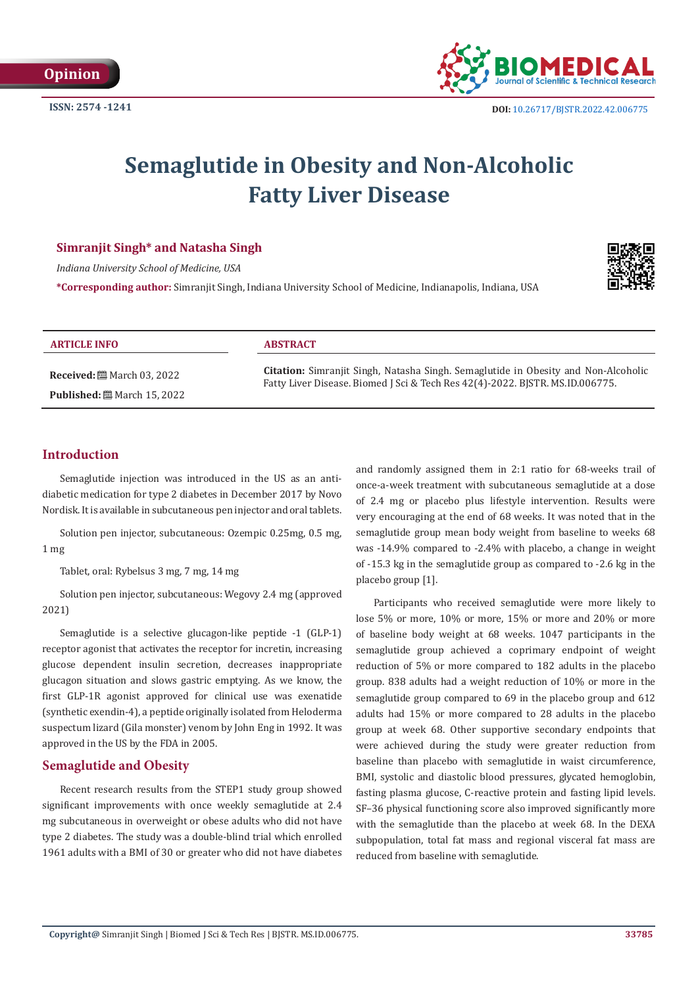

# **Semaglutide in Obesity and Non-Alcoholic Fatty Liver Disease**

# **Simranjit Singh\* and Natasha Singh**

*Indiana University School of Medicine, USA*

**\*Corresponding author:** Simranjit Singh, Indiana University School of Medicine, Indianapolis, Indiana, USA



#### **ARTICLE INFO ABSTRACT**

**Received:** March 03, 2022 **Published:** March 15, 2022

**Citation:** Simranjit Singh, Natasha Singh. Semaglutide in Obesity and Non-Alcoholic Fatty Liver Disease. Biomed J Sci & Tech Res 42(4)-2022. BJSTR. MS.ID.006775.

# **Introduction**

Semaglutide injection was introduced in the US as an antidiabetic medication for type 2 diabetes in December 2017 by Novo Nordisk. It is available in subcutaneous pen injector and oral tablets.

Solution pen injector, subcutaneous: Ozempic 0.25mg, 0.5 mg, 1 mg

Tablet, oral: Rybelsus 3 mg, 7 mg, 14 mg

Solution pen injector, subcutaneous: Wegovy 2.4 mg (approved 2021)

Semaglutide is a selective glucagon-like peptide -1 (GLP-1) receptor agonist that activates the receptor for incretin, increasing glucose dependent insulin secretion, decreases inappropriate glucagon situation and slows gastric emptying. As we know, the first GLP-1R agonist approved for clinical use was exenatide (synthetic exendin-4), a peptide originally isolated from Heloderma suspectum lizard (Gila monster) venom by John Eng in 1992. It was approved in the US by the FDA in 2005.

# **Semaglutide and Obesity**

Recent research results from the STEP1 study group showed significant improvements with once weekly semaglutide at 2.4 mg subcutaneous in overweight or obese adults who did not have type 2 diabetes. The study was a double-blind trial which enrolled 1961 adults with a BMI of 30 or greater who did not have diabetes and randomly assigned them in 2:1 ratio for 68-weeks trail of once-a-week treatment with subcutaneous semaglutide at a dose of 2.4 mg or placebo plus lifestyle intervention. Results were very encouraging at the end of 68 weeks. It was noted that in the semaglutide group mean body weight from baseline to weeks 68 was -14.9% compared to -2.4% with placebo, a change in weight of -15.3 kg in the semaglutide group as compared to -2.6 kg in the placebo group [1].

Participants who received semaglutide were more likely to lose 5% or more, 10% or more, 15% or more and 20% or more of baseline body weight at 68 weeks. 1047 participants in the semaglutide group achieved a coprimary endpoint of weight reduction of 5% or more compared to 182 adults in the placebo group. 838 adults had a weight reduction of 10% or more in the semaglutide group compared to 69 in the placebo group and 612 adults had 15% or more compared to 28 adults in the placebo group at week 68. Other supportive secondary endpoints that were achieved during the study were greater reduction from baseline than placebo with semaglutide in waist circumference, BMI, systolic and diastolic blood pressures, glycated hemoglobin, fasting plasma glucose, C-reactive protein and fasting lipid levels. SF–36 physical functioning score also improved significantly more with the semaglutide than the placebo at week 68. In the DEXA subpopulation, total fat mass and regional visceral fat mass are reduced from baseline with semaglutide.